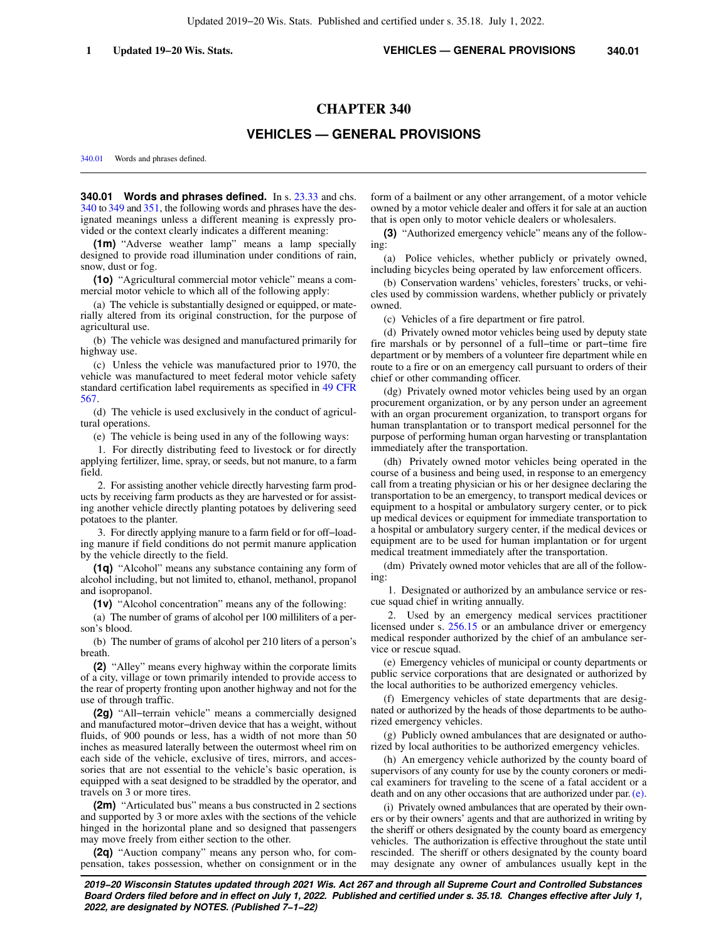# **CHAPTER 340**

# **VEHICLES — GENERAL PROVISIONS**

[340.01](https://docs.legis.wisconsin.gov/document/statutes/340.01) Words and phrases defined.

**340.01 Words and phrases defined.** In s. [23.33](https://docs.legis.wisconsin.gov/document/statutes/23.33) and chs. [340](https://docs.legis.wisconsin.gov/document/statutes/ch.%20340) to [349](https://docs.legis.wisconsin.gov/document/statutes/ch.%20349) and [351](https://docs.legis.wisconsin.gov/document/statutes/ch.%20351), the following words and phrases have the designated meanings unless a different meaning is expressly provided or the context clearly indicates a different meaning:

**(1m)** "Adverse weather lamp" means a lamp specially designed to provide road illumination under conditions of rain, snow, dust or fog.

**(1o)** "Agricultural commercial motor vehicle" means a commercial motor vehicle to which all of the following apply:

(a) The vehicle is substantially designed or equipped, or materially altered from its original construction, for the purpose of agricultural use.

(b) The vehicle was designed and manufactured primarily for highway use.

(c) Unless the vehicle was manufactured prior to 1970, the vehicle was manufactured to meet federal motor vehicle safety standard certification label requirements as specified in [49 CFR](https://docs.legis.wisconsin.gov/document/cfr/49%20CFR%20567) [567](https://docs.legis.wisconsin.gov/document/cfr/49%20CFR%20567).

(d) The vehicle is used exclusively in the conduct of agricultural operations.

(e) The vehicle is being used in any of the following ways:

1. For directly distributing feed to livestock or for directly applying fertilizer, lime, spray, or seeds, but not manure, to a farm field.

2. For assisting another vehicle directly harvesting farm products by receiving farm products as they are harvested or for assisting another vehicle directly planting potatoes by delivering seed potatoes to the planter.

3. For directly applying manure to a farm field or for off−loading manure if field conditions do not permit manure application by the vehicle directly to the field.

**(1q)** "Alcohol" means any substance containing any form of alcohol including, but not limited to, ethanol, methanol, propanol and isopropanol.

**(1v)** "Alcohol concentration" means any of the following:

(a) The number of grams of alcohol per 100 milliliters of a person's blood.

(b) The number of grams of alcohol per 210 liters of a person's breath.

**(2)** "Alley" means every highway within the corporate limits of a city, village or town primarily intended to provide access to the rear of property fronting upon another highway and not for the use of through traffic.

**(2g)** "All−terrain vehicle" means a commercially designed and manufactured motor−driven device that has a weight, without fluids, of 900 pounds or less, has a width of not more than 50 inches as measured laterally between the outermost wheel rim on each side of the vehicle, exclusive of tires, mirrors, and accessories that are not essential to the vehicle's basic operation, is equipped with a seat designed to be straddled by the operator, and travels on 3 or more tires.

**(2m)** "Articulated bus" means a bus constructed in 2 sections and supported by 3 or more axles with the sections of the vehicle hinged in the horizontal plane and so designed that passengers may move freely from either section to the other.

**(2q)** "Auction company" means any person who, for compensation, takes possession, whether on consignment or in the

form of a bailment or any other arrangement, of a motor vehicle owned by a motor vehicle dealer and offers it for sale at an auction that is open only to motor vehicle dealers or wholesalers.

**(3)** "Authorized emergency vehicle" means any of the following:

(a) Police vehicles, whether publicly or privately owned, including bicycles being operated by law enforcement officers.

(b) Conservation wardens' vehicles, foresters' trucks, or vehicles used by commission wardens, whether publicly or privately owned.

(c) Vehicles of a fire department or fire patrol.

(d) Privately owned motor vehicles being used by deputy state fire marshals or by personnel of a full−time or part−time fire department or by members of a volunteer fire department while en route to a fire or on an emergency call pursuant to orders of their chief or other commanding officer.

(dg) Privately owned motor vehicles being used by an organ procurement organization, or by any person under an agreement with an organ procurement organization, to transport organs for human transplantation or to transport medical personnel for the purpose of performing human organ harvesting or transplantation immediately after the transportation.

(dh) Privately owned motor vehicles being operated in the course of a business and being used, in response to an emergency call from a treating physician or his or her designee declaring the transportation to be an emergency, to transport medical devices or equipment to a hospital or ambulatory surgery center, or to pick up medical devices or equipment for immediate transportation to a hospital or ambulatory surgery center, if the medical devices or equipment are to be used for human implantation or for urgent medical treatment immediately after the transportation.

(dm) Privately owned motor vehicles that are all of the following:

1. Designated or authorized by an ambulance service or rescue squad chief in writing annually.

2. Used by an emergency medical services practitioner licensed under s. [256.15](https://docs.legis.wisconsin.gov/document/statutes/256.15) or an ambulance driver or emergency medical responder authorized by the chief of an ambulance service or rescue squad.

(e) Emergency vehicles of municipal or county departments or public service corporations that are designated or authorized by the local authorities to be authorized emergency vehicles.

(f) Emergency vehicles of state departments that are designated or authorized by the heads of those departments to be authorized emergency vehicles.

(g) Publicly owned ambulances that are designated or authorized by local authorities to be authorized emergency vehicles.

(h) An emergency vehicle authorized by the county board of supervisors of any county for use by the county coroners or medical examiners for traveling to the scene of a fatal accident or a death and on any other occasions that are authorized under par. [\(e\).](https://docs.legis.wisconsin.gov/document/statutes/340.01(3)(e))

(i) Privately owned ambulances that are operated by their owners or by their owners' agents and that are authorized in writing by the sheriff or others designated by the county board as emergency vehicles. The authorization is effective throughout the state until rescinded. The sheriff or others designated by the county board may designate any owner of ambulances usually kept in the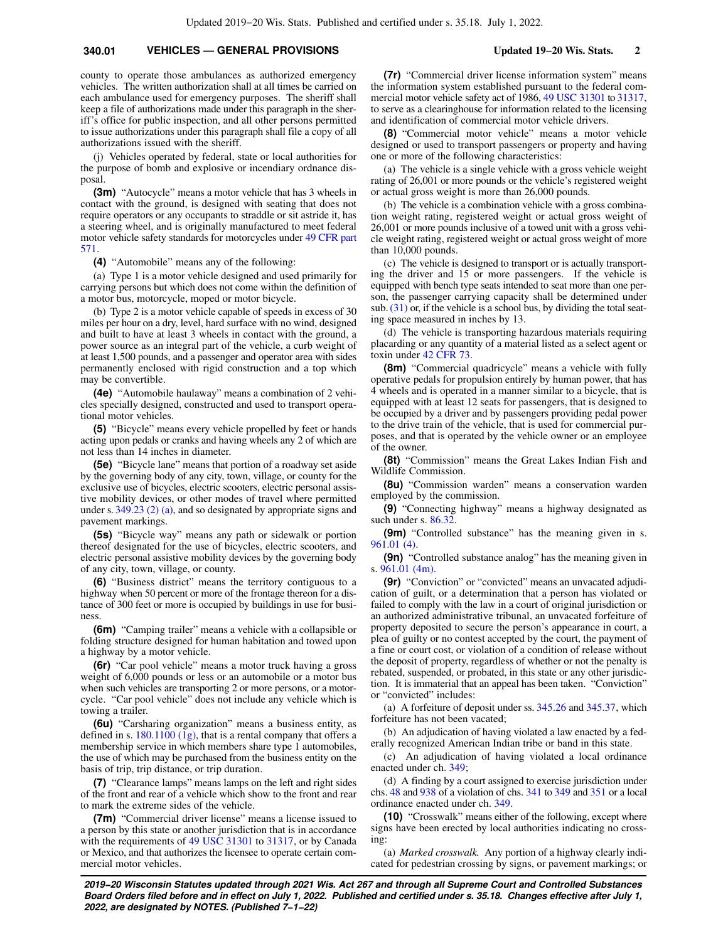county to operate those ambulances as authorized emergency vehicles. The written authorization shall at all times be carried on each ambulance used for emergency purposes. The sheriff shall keep a file of authorizations made under this paragraph in the sheriff's office for public inspection, and all other persons permitted to issue authorizations under this paragraph shall file a copy of all authorizations issued with the sheriff.

(j) Vehicles operated by federal, state or local authorities for the purpose of bomb and explosive or incendiary ordnance disposal.

**(3m)** "Autocycle" means a motor vehicle that has 3 wheels in contact with the ground, is designed with seating that does not require operators or any occupants to straddle or sit astride it, has a steering wheel, and is originally manufactured to meet federal motor vehicle safety standards for motorcycles under [49 CFR part](https://docs.legis.wisconsin.gov/document/cfr/49%20CFR%20571) [571](https://docs.legis.wisconsin.gov/document/cfr/49%20CFR%20571).

**(4)** "Automobile" means any of the following:

(a) Type 1 is a motor vehicle designed and used primarily for carrying persons but which does not come within the definition of a motor bus, motorcycle, moped or motor bicycle.

(b) Type 2 is a motor vehicle capable of speeds in excess of 30 miles per hour on a dry, level, hard surface with no wind, designed and built to have at least 3 wheels in contact with the ground, a power source as an integral part of the vehicle, a curb weight of at least 1,500 pounds, and a passenger and operator area with sides permanently enclosed with rigid construction and a top which may be convertible.

**(4e)** "Automobile haulaway" means a combination of 2 vehicles specially designed, constructed and used to transport operational motor vehicles.

**(5)** "Bicycle" means every vehicle propelled by feet or hands acting upon pedals or cranks and having wheels any 2 of which are not less than 14 inches in diameter.

**(5e)** "Bicycle lane" means that portion of a roadway set aside by the governing body of any city, town, village, or county for the exclusive use of bicycles, electric scooters, electric personal assistive mobility devices, or other modes of travel where permitted under s. [349.23 \(2\) \(a\),](https://docs.legis.wisconsin.gov/document/statutes/349.23(2)(a)) and so designated by appropriate signs and pavement markings.

**(5s)** "Bicycle way" means any path or sidewalk or portion thereof designated for the use of bicycles, electric scooters, and electric personal assistive mobility devices by the governing body of any city, town, village, or county.

**(6)** "Business district" means the territory contiguous to a highway when 50 percent or more of the frontage thereon for a distance of 300 feet or more is occupied by buildings in use for business.

**(6m)** "Camping trailer" means a vehicle with a collapsible or folding structure designed for human habitation and towed upon a highway by a motor vehicle.

**(6r)** "Car pool vehicle" means a motor truck having a gross weight of 6,000 pounds or less or an automobile or a motor bus when such vehicles are transporting 2 or more persons, or a motorcycle. "Car pool vehicle" does not include any vehicle which is towing a trailer.

**(6u)** "Carsharing organization" means a business entity, as defined in s.  $180.1100$  (1g), that is a rental company that offers a membership service in which members share type 1 automobiles, the use of which may be purchased from the business entity on the basis of trip, trip distance, or trip duration.

**(7)** "Clearance lamps" means lamps on the left and right sides of the front and rear of a vehicle which show to the front and rear to mark the extreme sides of the vehicle.

**(7m)** "Commercial driver license" means a license issued to a person by this state or another jurisdiction that is in accordance with the requirements of [49 USC 31301](https://docs.legis.wisconsin.gov/document/usc/49%20USC%2031301) to [31317](https://docs.legis.wisconsin.gov/document/usc/49%20USC%2031317), or by Canada or Mexico, and that authorizes the licensee to operate certain commercial motor vehicles.

**(7r)** "Commercial driver license information system" means the information system established pursuant to the federal commercial motor vehicle safety act of 1986, [49 USC 31301](https://docs.legis.wisconsin.gov/document/usc/49%20USC%2031301) to [31317,](https://docs.legis.wisconsin.gov/document/usc/49%20USC%2031317) to serve as a clearinghouse for information related to the licensing and identification of commercial motor vehicle drivers.

**(8)** "Commercial motor vehicle" means a motor vehicle designed or used to transport passengers or property and having one or more of the following characteristics:

(a) The vehicle is a single vehicle with a gross vehicle weight rating of 26,001 or more pounds or the vehicle's registered weight or actual gross weight is more than 26,000 pounds.

(b) The vehicle is a combination vehicle with a gross combination weight rating, registered weight or actual gross weight of 26,001 or more pounds inclusive of a towed unit with a gross vehicle weight rating, registered weight or actual gross weight of more than 10,000 pounds.

(c) The vehicle is designed to transport or is actually transporting the driver and 15 or more passengers. If the vehicle is equipped with bench type seats intended to seat more than one person, the passenger carrying capacity shall be determined under sub.  $(31)$  or, if the vehicle is a school bus, by dividing the total seating space measured in inches by 13.

(d) The vehicle is transporting hazardous materials requiring placarding or any quantity of a material listed as a select agent or toxin under [42 CFR 73](https://docs.legis.wisconsin.gov/document/cfr/42%20CFR%2073).

**(8m)** "Commercial quadricycle" means a vehicle with fully operative pedals for propulsion entirely by human power, that has 4 wheels and is operated in a manner similar to a bicycle, that is equipped with at least 12 seats for passengers, that is designed to be occupied by a driver and by passengers providing pedal power to the drive train of the vehicle, that is used for commercial purposes, and that is operated by the vehicle owner or an employee of the owner.

**(8t)** "Commission" means the Great Lakes Indian Fish and Wildlife Commission.

**(8u)** "Commission warden" means a conservation warden employed by the commission.

**(9)** "Connecting highway" means a highway designated as such under s. [86.32](https://docs.legis.wisconsin.gov/document/statutes/86.32).

**(9m)** "Controlled substance" has the meaning given in s. [961.01 \(4\).](https://docs.legis.wisconsin.gov/document/statutes/961.01(4))

**(9n)** "Controlled substance analog" has the meaning given in s. [961.01 \(4m\).](https://docs.legis.wisconsin.gov/document/statutes/961.01(4m))

**(9r)** "Conviction" or "convicted" means an unvacated adjudication of guilt, or a determination that a person has violated or failed to comply with the law in a court of original jurisdiction or an authorized administrative tribunal, an unvacated forfeiture of property deposited to secure the person's appearance in court, a plea of guilty or no contest accepted by the court, the payment of a fine or court cost, or violation of a condition of release without the deposit of property, regardless of whether or not the penalty is rebated, suspended, or probated, in this state or any other jurisdiction. It is immaterial that an appeal has been taken. "Conviction" or "convicted" includes:

(a) A forfeiture of deposit under ss. [345.26](https://docs.legis.wisconsin.gov/document/statutes/345.26) and [345.37](https://docs.legis.wisconsin.gov/document/statutes/345.37), which forfeiture has not been vacated;

(b) An adjudication of having violated a law enacted by a federally recognized American Indian tribe or band in this state.

(c) An adjudication of having violated a local ordinance enacted under ch. [349;](https://docs.legis.wisconsin.gov/document/statutes/ch.%20349)

(d) A finding by a court assigned to exercise jurisdiction under chs. [48](https://docs.legis.wisconsin.gov/document/statutes/ch.%2048) and [938](https://docs.legis.wisconsin.gov/document/statutes/ch.%20938) of a violation of chs. [341](https://docs.legis.wisconsin.gov/document/statutes/ch.%20341) to [349](https://docs.legis.wisconsin.gov/document/statutes/ch.%20349) and [351](https://docs.legis.wisconsin.gov/document/statutes/ch.%20351) or a local ordinance enacted under ch. [349.](https://docs.legis.wisconsin.gov/document/statutes/ch.%20349)

**(10)** "Crosswalk" means either of the following, except where signs have been erected by local authorities indicating no crossing:

(a) *Marked crosswalk.* Any portion of a highway clearly indicated for pedestrian crossing by signs, or pavement markings; or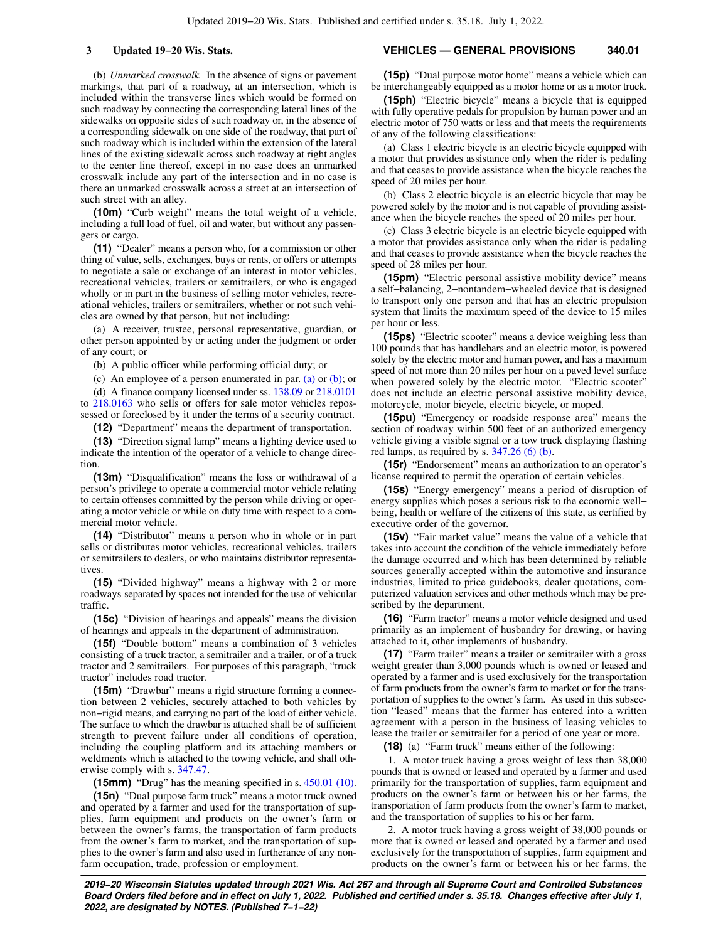(b) *Unmarked crosswalk.* In the absence of signs or pavement markings, that part of a roadway, at an intersection, which is included within the transverse lines which would be formed on such roadway by connecting the corresponding lateral lines of the sidewalks on opposite sides of such roadway or, in the absence of a corresponding sidewalk on one side of the roadway, that part of such roadway which is included within the extension of the lateral lines of the existing sidewalk across such roadway at right angles to the center line thereof, except in no case does an unmarked crosswalk include any part of the intersection and in no case is there an unmarked crosswalk across a street at an intersection of such street with an alley.

**(10m)** "Curb weight" means the total weight of a vehicle, including a full load of fuel, oil and water, but without any passengers or cargo.

**(11)** "Dealer" means a person who, for a commission or other thing of value, sells, exchanges, buys or rents, or offers or attempts to negotiate a sale or exchange of an interest in motor vehicles, recreational vehicles, trailers or semitrailers, or who is engaged wholly or in part in the business of selling motor vehicles, recreational vehicles, trailers or semitrailers, whether or not such vehicles are owned by that person, but not including:

(a) A receiver, trustee, personal representative, guardian, or other person appointed by or acting under the judgment or order of any court; or

(b) A public officer while performing official duty; or

(c) An employee of a person enumerated in par. [\(a\)](https://docs.legis.wisconsin.gov/document/statutes/340.01(11)(a)) or [\(b\);](https://docs.legis.wisconsin.gov/document/statutes/340.01(11)(b)) or

(d) A finance company licensed under ss. [138.09](https://docs.legis.wisconsin.gov/document/statutes/138.09) or [218.0101](https://docs.legis.wisconsin.gov/document/statutes/218.0101) to [218.0163](https://docs.legis.wisconsin.gov/document/statutes/218.0163) who sells or offers for sale motor vehicles repossessed or foreclosed by it under the terms of a security contract.

**(12)** "Department" means the department of transportation.

**(13)** "Direction signal lamp" means a lighting device used to indicate the intention of the operator of a vehicle to change direction.

**(13m)** "Disqualification" means the loss or withdrawal of a person's privilege to operate a commercial motor vehicle relating to certain offenses committed by the person while driving or operating a motor vehicle or while on duty time with respect to a commercial motor vehicle.

**(14)** "Distributor" means a person who in whole or in part sells or distributes motor vehicles, recreational vehicles, trailers or semitrailers to dealers, or who maintains distributor representatives

**(15)** "Divided highway" means a highway with 2 or more roadways separated by spaces not intended for the use of vehicular traffic.

**(15c)** "Division of hearings and appeals" means the division of hearings and appeals in the department of administration.

**(15f)** "Double bottom" means a combination of 3 vehicles consisting of a truck tractor, a semitrailer and a trailer, or of a truck tractor and 2 semitrailers. For purposes of this paragraph, "truck tractor" includes road tractor.

**(15m)** "Drawbar" means a rigid structure forming a connection between 2 vehicles, securely attached to both vehicles by non−rigid means, and carrying no part of the load of either vehicle. The surface to which the drawbar is attached shall be of sufficient strength to prevent failure under all conditions of operation, including the coupling platform and its attaching members or weldments which is attached to the towing vehicle, and shall otherwise comply with s. [347.47](https://docs.legis.wisconsin.gov/document/statutes/347.47).

**(15mm)** "Drug" has the meaning specified in s. [450.01 \(10\).](https://docs.legis.wisconsin.gov/document/statutes/450.01(10))

**(15n)** "Dual purpose farm truck" means a motor truck owned and operated by a farmer and used for the transportation of supplies, farm equipment and products on the owner's farm or between the owner's farms, the transportation of farm products from the owner's farm to market, and the transportation of supplies to the owner's farm and also used in furtherance of any nonfarm occupation, trade, profession or employment.

## **3 Updated 19−20 Wis. Stats. VEHICLES — GENERAL PROVISIONS 340.01**

**(15p)** "Dual purpose motor home" means a vehicle which can be interchangeably equipped as a motor home or as a motor truck.

**(15ph)** "Electric bicycle" means a bicycle that is equipped with fully operative pedals for propulsion by human power and an electric motor of 750 watts or less and that meets the requirements of any of the following classifications:

(a) Class 1 electric bicycle is an electric bicycle equipped with a motor that provides assistance only when the rider is pedaling and that ceases to provide assistance when the bicycle reaches the speed of 20 miles per hour.

(b) Class 2 electric bicycle is an electric bicycle that may be powered solely by the motor and is not capable of providing assistance when the bicycle reaches the speed of 20 miles per hour.

(c) Class 3 electric bicycle is an electric bicycle equipped with a motor that provides assistance only when the rider is pedaling and that ceases to provide assistance when the bicycle reaches the speed of 28 miles per hour.

**(15pm)** "Electric personal assistive mobility device" means a self−balancing, 2−nontandem−wheeled device that is designed to transport only one person and that has an electric propulsion system that limits the maximum speed of the device to 15 miles per hour or less.

**(15ps)** "Electric scooter" means a device weighing less than 100 pounds that has handlebars and an electric motor, is powered solely by the electric motor and human power, and has a maximum speed of not more than 20 miles per hour on a paved level surface when powered solely by the electric motor. "Electric scooter" does not include an electric personal assistive mobility device, motorcycle, motor bicycle, electric bicycle, or moped.

**(15pu)** "Emergency or roadside response area" means the section of roadway within 500 feet of an authorized emergency vehicle giving a visible signal or a tow truck displaying flashing red lamps, as required by s. [347.26 \(6\) \(b\)](https://docs.legis.wisconsin.gov/document/statutes/347.26(6)(b)).

**(15r)** "Endorsement" means an authorization to an operator's license required to permit the operation of certain vehicles.

**(15s)** "Energy emergency" means a period of disruption of energy supplies which poses a serious risk to the economic well− being, health or welfare of the citizens of this state, as certified by executive order of the governor.

**(15v)** "Fair market value" means the value of a vehicle that takes into account the condition of the vehicle immediately before the damage occurred and which has been determined by reliable sources generally accepted within the automotive and insurance industries, limited to price guidebooks, dealer quotations, computerized valuation services and other methods which may be prescribed by the department.

**(16)** "Farm tractor" means a motor vehicle designed and used primarily as an implement of husbandry for drawing, or having attached to it, other implements of husbandry.

**(17)** "Farm trailer" means a trailer or semitrailer with a gross weight greater than 3,000 pounds which is owned or leased and operated by a farmer and is used exclusively for the transportation of farm products from the owner's farm to market or for the transportation of supplies to the owner's farm. As used in this subsection "leased" means that the farmer has entered into a written agreement with a person in the business of leasing vehicles to lease the trailer or semitrailer for a period of one year or more.

**(18)** (a) "Farm truck" means either of the following:

1. A motor truck having a gross weight of less than 38,000 pounds that is owned or leased and operated by a farmer and used primarily for the transportation of supplies, farm equipment and products on the owner's farm or between his or her farms, the transportation of farm products from the owner's farm to market, and the transportation of supplies to his or her farm.

2. A motor truck having a gross weight of 38,000 pounds or more that is owned or leased and operated by a farmer and used exclusively for the transportation of supplies, farm equipment and products on the owner's farm or between his or her farms, the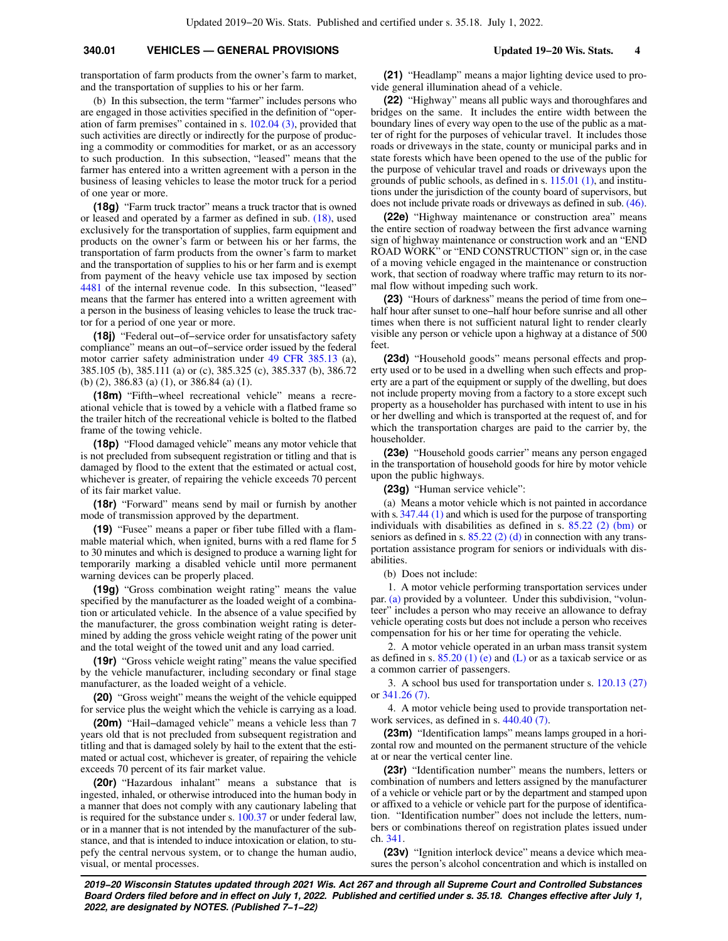transportation of farm products from the owner's farm to market, and the transportation of supplies to his or her farm.

(b) In this subsection, the term "farmer" includes persons who are engaged in those activities specified in the definition of "operation of farm premises" contained in s. [102.04 \(3\),](https://docs.legis.wisconsin.gov/document/statutes/102.04(3)) provided that such activities are directly or indirectly for the purpose of producing a commodity or commodities for market, or as an accessory to such production. In this subsection, "leased" means that the farmer has entered into a written agreement with a person in the business of leasing vehicles to lease the motor truck for a period of one year or more.

**(18g)** "Farm truck tractor" means a truck tractor that is owned or leased and operated by a farmer as defined in sub. [\(18\),](https://docs.legis.wisconsin.gov/document/statutes/340.01(18)) used exclusively for the transportation of supplies, farm equipment and products on the owner's farm or between his or her farms, the transportation of farm products from the owner's farm to market and the transportation of supplies to his or her farm and is exempt from payment of the heavy vehicle use tax imposed by section [4481](https://docs.legis.wisconsin.gov/document/usc/26%20USC%204481) of the internal revenue code. In this subsection, "leased" means that the farmer has entered into a written agreement with a person in the business of leasing vehicles to lease the truck tractor for a period of one year or more.

**(18j)** "Federal out−of−service order for unsatisfactory safety compliance" means an out−of−service order issued by the federal motor carrier safety administration under [49 CFR 385.13](https://docs.legis.wisconsin.gov/document/cfr/49%20CFR%20385.13) (a), 385.105 (b), 385.111 (a) or (c), 385.325 (c), 385.337 (b), 386.72 (b) (2), 386.83 (a) (1), or 386.84 (a) (1).

**(18m)** "Fifth−wheel recreational vehicle" means a recreational vehicle that is towed by a vehicle with a flatbed frame so the trailer hitch of the recreational vehicle is bolted to the flatbed frame of the towing vehicle.

**(18p)** "Flood damaged vehicle" means any motor vehicle that is not precluded from subsequent registration or titling and that is damaged by flood to the extent that the estimated or actual cost, whichever is greater, of repairing the vehicle exceeds 70 percent of its fair market value.

**(18r)** "Forward" means send by mail or furnish by another mode of transmission approved by the department.

**(19)** "Fusee" means a paper or fiber tube filled with a flammable material which, when ignited, burns with a red flame for 5 to 30 minutes and which is designed to produce a warning light for temporarily marking a disabled vehicle until more permanent warning devices can be properly placed.

**(19g)** "Gross combination weight rating" means the value specified by the manufacturer as the loaded weight of a combination or articulated vehicle. In the absence of a value specified by the manufacturer, the gross combination weight rating is determined by adding the gross vehicle weight rating of the power unit and the total weight of the towed unit and any load carried.

**(19r)** "Gross vehicle weight rating" means the value specified by the vehicle manufacturer, including secondary or final stage manufacturer, as the loaded weight of a vehicle.

**(20)** "Gross weight" means the weight of the vehicle equipped for service plus the weight which the vehicle is carrying as a load.

**(20m)** "Hail−damaged vehicle" means a vehicle less than 7 years old that is not precluded from subsequent registration and titling and that is damaged solely by hail to the extent that the estimated or actual cost, whichever is greater, of repairing the vehicle exceeds 70 percent of its fair market value.

**(20r)** "Hazardous inhalant" means a substance that is ingested, inhaled, or otherwise introduced into the human body in a manner that does not comply with any cautionary labeling that is required for the substance under s. [100.37](https://docs.legis.wisconsin.gov/document/statutes/100.37) or under federal law, or in a manner that is not intended by the manufacturer of the substance, and that is intended to induce intoxication or elation, to stupefy the central nervous system, or to change the human audio, visual, or mental processes.

**(21)** "Headlamp" means a major lighting device used to provide general illumination ahead of a vehicle.

**(22)** "Highway" means all public ways and thoroughfares and bridges on the same. It includes the entire width between the boundary lines of every way open to the use of the public as a matter of right for the purposes of vehicular travel. It includes those roads or driveways in the state, county or municipal parks and in state forests which have been opened to the use of the public for the purpose of vehicular travel and roads or driveways upon the grounds of public schools, as defined in s. [115.01 \(1\),](https://docs.legis.wisconsin.gov/document/statutes/115.01(1)) and institutions under the jurisdiction of the county board of supervisors, but does not include private roads or driveways as defined in sub. [\(46\).](https://docs.legis.wisconsin.gov/document/statutes/340.01(46))

**(22e)** "Highway maintenance or construction area" means the entire section of roadway between the first advance warning sign of highway maintenance or construction work and an "END ROAD WORK" or "END CONSTRUCTION" sign or, in the case of a moving vehicle engaged in the maintenance or construction work, that section of roadway where traffic may return to its normal flow without impeding such work.

**(23)** "Hours of darkness" means the period of time from one− half hour after sunset to one−half hour before sunrise and all other times when there is not sufficient natural light to render clearly visible any person or vehicle upon a highway at a distance of 500 feet.

**(23d)** "Household goods" means personal effects and property used or to be used in a dwelling when such effects and property are a part of the equipment or supply of the dwelling, but does not include property moving from a factory to a store except such property as a householder has purchased with intent to use in his or her dwelling and which is transported at the request of, and for which the transportation charges are paid to the carrier by, the householder.

**(23e)** "Household goods carrier" means any person engaged in the transportation of household goods for hire by motor vehicle upon the public highways.

**(23g)** "Human service vehicle":

(a) Means a motor vehicle which is not painted in accordance with s. [347.44 \(1\)](https://docs.legis.wisconsin.gov/document/statutes/347.44(1)) and which is used for the purpose of transporting individuals with disabilities as defined in s. [85.22 \(2\) \(bm\)](https://docs.legis.wisconsin.gov/document/statutes/85.22(2)(bm)) or seniors as defined in s. [85.22 \(2\) \(d\)](https://docs.legis.wisconsin.gov/document/statutes/85.22(2)(d)) in connection with any transportation assistance program for seniors or individuals with disabilities.

(b) Does not include:

1. A motor vehicle performing transportation services under par. [\(a\)](https://docs.legis.wisconsin.gov/document/statutes/340.01(23g)(a)) provided by a volunteer. Under this subdivision, "volunteer" includes a person who may receive an allowance to defray vehicle operating costs but does not include a person who receives compensation for his or her time for operating the vehicle.

2. A motor vehicle operated in an urban mass transit system as defined in s.  $85.20$  (1) (e) and [\(L\)](https://docs.legis.wisconsin.gov/document/statutes/85.20(1)(L)) or as a taxicab service or as a common carrier of passengers.

3. A school bus used for transportation under s. [120.13 \(27\)](https://docs.legis.wisconsin.gov/document/statutes/120.13(27)) or [341.26 \(7\).](https://docs.legis.wisconsin.gov/document/statutes/341.26(7))

4. A motor vehicle being used to provide transportation net-work services, as defined in s. [440.40 \(7\).](https://docs.legis.wisconsin.gov/document/statutes/440.40(7))

**(23m)** "Identification lamps" means lamps grouped in a horizontal row and mounted on the permanent structure of the vehicle at or near the vertical center line.

**(23r)** "Identification number" means the numbers, letters or combination of numbers and letters assigned by the manufacturer of a vehicle or vehicle part or by the department and stamped upon or affixed to a vehicle or vehicle part for the purpose of identification. "Identification number" does not include the letters, numbers or combinations thereof on registration plates issued under ch. [341.](https://docs.legis.wisconsin.gov/document/statutes/ch.%20341)

**(23v)** "Ignition interlock device" means a device which measures the person's alcohol concentration and which is installed on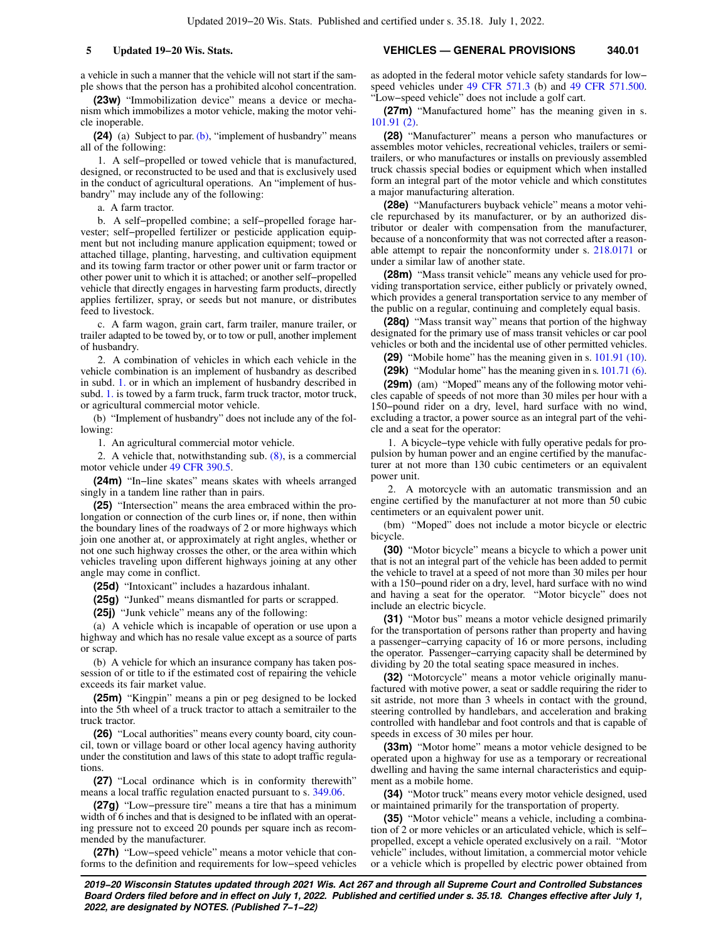a vehicle in such a manner that the vehicle will not start if the sample shows that the person has a prohibited alcohol concentration.

**(23w)** "Immobilization device" means a device or mechanism which immobilizes a motor vehicle, making the motor vehicle inoperable.

**(24)** (a) Subject to par. [\(b\),](https://docs.legis.wisconsin.gov/document/statutes/340.01(24)(b)) "implement of husbandry" means all of the following:

1. A self−propelled or towed vehicle that is manufactured, designed, or reconstructed to be used and that is exclusively used in the conduct of agricultural operations. An "implement of husbandry" may include any of the following:

a. A farm tractor.

b. A self−propelled combine; a self−propelled forage harvester; self−propelled fertilizer or pesticide application equipment but not including manure application equipment; towed or attached tillage, planting, harvesting, and cultivation equipment and its towing farm tractor or other power unit or farm tractor or other power unit to which it is attached; or another self−propelled vehicle that directly engages in harvesting farm products, directly applies fertilizer, spray, or seeds but not manure, or distributes feed to livestock.

c. A farm wagon, grain cart, farm trailer, manure trailer, or trailer adapted to be towed by, or to tow or pull, another implement of husbandry.

2. A combination of vehicles in which each vehicle in the vehicle combination is an implement of husbandry as described in subd. [1.](https://docs.legis.wisconsin.gov/document/statutes/340.01(24)(a)1.) or in which an implement of husbandry described in subd. [1.](https://docs.legis.wisconsin.gov/document/statutes/340.01(24)(a)1.) is towed by a farm truck, farm truck tractor, motor truck, or agricultural commercial motor vehicle.

(b) "Implement of husbandry" does not include any of the following:

1. An agricultural commercial motor vehicle.

2. A vehicle that, notwithstanding sub. [\(8\),](https://docs.legis.wisconsin.gov/document/statutes/340.01(8)) is a commercial motor vehicle under [49 CFR 390.5.](https://docs.legis.wisconsin.gov/document/cfr/49%20CFR%20390.5)

**(24m)** "In−line skates" means skates with wheels arranged singly in a tandem line rather than in pairs.

**(25)** "Intersection" means the area embraced within the prolongation or connection of the curb lines or, if none, then within the boundary lines of the roadways of 2 or more highways which join one another at, or approximately at right angles, whether or not one such highway crosses the other, or the area within which vehicles traveling upon different highways joining at any other angle may come in conflict.

**(25d)** "Intoxicant" includes a hazardous inhalant.

**(25g)** "Junked" means dismantled for parts or scrapped.

**(25j)** "Junk vehicle" means any of the following:

(a) A vehicle which is incapable of operation or use upon a highway and which has no resale value except as a source of parts or scrap.

(b) A vehicle for which an insurance company has taken possession of or title to if the estimated cost of repairing the vehicle exceeds its fair market value.

**(25m)** "Kingpin" means a pin or peg designed to be locked into the 5th wheel of a truck tractor to attach a semitrailer to the truck tractor.

**(26)** "Local authorities" means every county board, city council, town or village board or other local agency having authority under the constitution and laws of this state to adopt traffic regulations.

**(27)** "Local ordinance which is in conformity therewith" means a local traffic regulation enacted pursuant to s. [349.06](https://docs.legis.wisconsin.gov/document/statutes/349.06).

**(27g)** "Low−pressure tire" means a tire that has a minimum width of 6 inches and that is designed to be inflated with an operating pressure not to exceed 20 pounds per square inch as recommended by the manufacturer.

**(27h)** "Low−speed vehicle" means a motor vehicle that conforms to the definition and requirements for low−speed vehicles

**5 Updated 19−20 Wis. Stats. VEHICLES — GENERAL PROVISIONS 340.01**

as adopted in the federal motor vehicle safety standards for low− speed vehicles under [49 CFR 571.3](https://docs.legis.wisconsin.gov/document/cfr/49%20CFR%20571.3) (b) and [49 CFR 571.500.](https://docs.legis.wisconsin.gov/document/cfr/49%20CFR%20571.500) "Low−speed vehicle" does not include a golf cart.

**(27m)** "Manufactured home" has the meaning given in s. [101.91 \(2\).](https://docs.legis.wisconsin.gov/document/statutes/101.91(2))

**(28)** "Manufacturer" means a person who manufactures or assembles motor vehicles, recreational vehicles, trailers or semitrailers, or who manufactures or installs on previously assembled truck chassis special bodies or equipment which when installed form an integral part of the motor vehicle and which constitutes a major manufacturing alteration.

**(28e)** "Manufacturers buyback vehicle" means a motor vehicle repurchased by its manufacturer, or by an authorized distributor or dealer with compensation from the manufacturer, because of a nonconformity that was not corrected after a reasonable attempt to repair the nonconformity under s. [218.0171](https://docs.legis.wisconsin.gov/document/statutes/218.0171) or under a similar law of another state.

**(28m)** "Mass transit vehicle" means any vehicle used for providing transportation service, either publicly or privately owned, which provides a general transportation service to any member of the public on a regular, continuing and completely equal basis.

**(28q)** "Mass transit way" means that portion of the highway designated for the primary use of mass transit vehicles or car pool vehicles or both and the incidental use of other permitted vehicles.

**(29)** "Mobile home" has the meaning given in s. [101.91 \(10\).](https://docs.legis.wisconsin.gov/document/statutes/101.91(10))

**(29k)** "Modular home" has the meaning given in s. [101.71 \(6\).](https://docs.legis.wisconsin.gov/document/statutes/101.71(6))

**(29m)** (am) "Moped" means any of the following motor vehicles capable of speeds of not more than 30 miles per hour with a 150−pound rider on a dry, level, hard surface with no wind, excluding a tractor, a power source as an integral part of the vehicle and a seat for the operator:

1. A bicycle−type vehicle with fully operative pedals for propulsion by human power and an engine certified by the manufacturer at not more than 130 cubic centimeters or an equivalent power unit.

2. A motorcycle with an automatic transmission and an engine certified by the manufacturer at not more than 50 cubic centimeters or an equivalent power unit.

(bm) "Moped" does not include a motor bicycle or electric bicycle.

**(30)** "Motor bicycle" means a bicycle to which a power unit that is not an integral part of the vehicle has been added to permit the vehicle to travel at a speed of not more than 30 miles per hour with a 150−pound rider on a dry, level, hard surface with no wind and having a seat for the operator. "Motor bicycle" does not include an electric bicycle.

**(31)** "Motor bus" means a motor vehicle designed primarily for the transportation of persons rather than property and having a passenger−carrying capacity of 16 or more persons, including the operator. Passenger−carrying capacity shall be determined by dividing by 20 the total seating space measured in inches.

**(32)** "Motorcycle" means a motor vehicle originally manufactured with motive power, a seat or saddle requiring the rider to sit astride, not more than 3 wheels in contact with the ground, steering controlled by handlebars, and acceleration and braking controlled with handlebar and foot controls and that is capable of speeds in excess of 30 miles per hour.

**(33m)** "Motor home" means a motor vehicle designed to be operated upon a highway for use as a temporary or recreational dwelling and having the same internal characteristics and equipment as a mobile home.

**(34)** "Motor truck" means every motor vehicle designed, used or maintained primarily for the transportation of property.

**(35)** "Motor vehicle" means a vehicle, including a combination of 2 or more vehicles or an articulated vehicle, which is self− propelled, except a vehicle operated exclusively on a rail. "Motor vehicle" includes, without limitation, a commercial motor vehicle or a vehicle which is propelled by electric power obtained from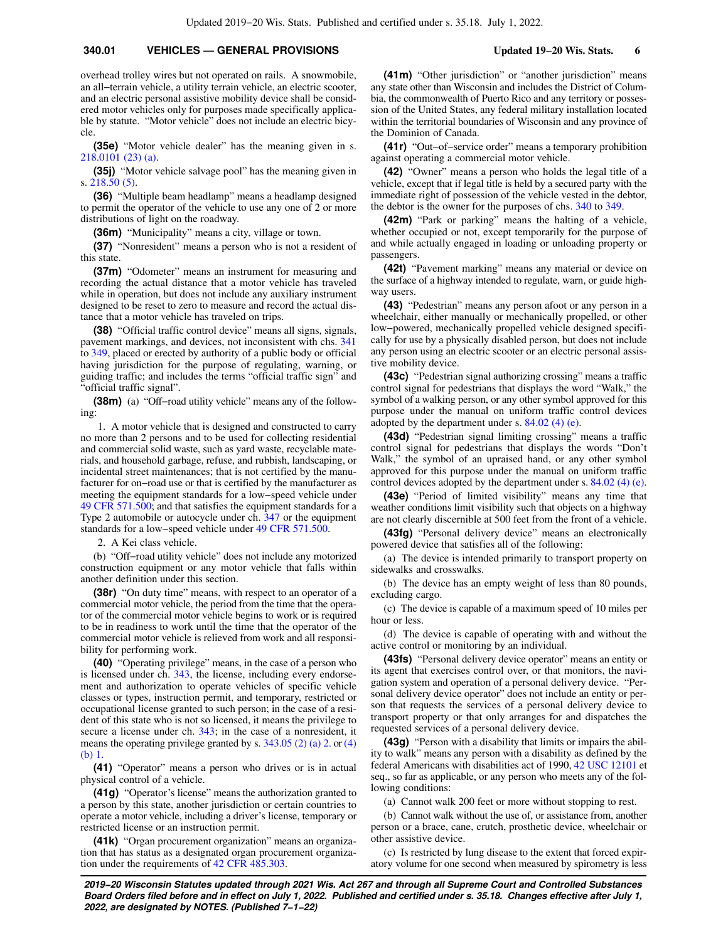overhead trolley wires but not operated on rails. A snowmobile, an all−terrain vehicle, a utility terrain vehicle, an electric scooter, and an electric personal assistive mobility device shall be considered motor vehicles only for purposes made specifically applicable by statute. "Motor vehicle" does not include an electric bicycle.

**(35e)** "Motor vehicle dealer" has the meaning given in s. [218.0101 \(23\) \(a\)](https://docs.legis.wisconsin.gov/document/statutes/218.0101(23)(a)).

**(35j)** "Motor vehicle salvage pool" has the meaning given in s. [218.50 \(5\).](https://docs.legis.wisconsin.gov/document/statutes/218.50(5))

**(36)** "Multiple beam headlamp" means a headlamp designed to permit the operator of the vehicle to use any one of 2 or more distributions of light on the roadway.

**(36m)** "Municipality" means a city, village or town.

**(37)** "Nonresident" means a person who is not a resident of this state.

**(37m)** "Odometer" means an instrument for measuring and recording the actual distance that a motor vehicle has traveled while in operation, but does not include any auxiliary instrument designed to be reset to zero to measure and record the actual distance that a motor vehicle has traveled on trips.

**(38)** "Official traffic control device" means all signs, signals, pavement markings, and devices, not inconsistent with chs. [341](https://docs.legis.wisconsin.gov/document/statutes/ch.%20341) to [349](https://docs.legis.wisconsin.gov/document/statutes/ch.%20349), placed or erected by authority of a public body or official having jurisdiction for the purpose of regulating, warning, or guiding traffic; and includes the terms "official traffic sign" and "official traffic signal".

**(38m)** (a) "Off−road utility vehicle" means any of the following:

1. A motor vehicle that is designed and constructed to carry no more than 2 persons and to be used for collecting residential and commercial solid waste, such as yard waste, recyclable materials, and household garbage, refuse, and rubbish, landscaping, or incidental street maintenances; that is not certified by the manufacturer for on−road use or that is certified by the manufacturer as meeting the equipment standards for a low−speed vehicle under [49 CFR 571.500](https://docs.legis.wisconsin.gov/document/cfr/49%20CFR%20571.500); and that satisfies the equipment standards for a Type 2 automobile or autocycle under ch. [347](https://docs.legis.wisconsin.gov/document/statutes/ch.%20347) or the equipment standards for a low−speed vehicle under [49 CFR 571.500.](https://docs.legis.wisconsin.gov/document/cfr/49%20CFR%20571.500)

2. A Kei class vehicle.

(b) "Off−road utility vehicle" does not include any motorized construction equipment or any motor vehicle that falls within another definition under this section.

**(38r)** "On duty time" means, with respect to an operator of a commercial motor vehicle, the period from the time that the operator of the commercial motor vehicle begins to work or is required to be in readiness to work until the time that the operator of the commercial motor vehicle is relieved from work and all responsibility for performing work.

**(40)** "Operating privilege" means, in the case of a person who is licensed under ch. [343,](https://docs.legis.wisconsin.gov/document/statutes/ch.%20343) the license, including every endorsement and authorization to operate vehicles of specific vehicle classes or types, instruction permit, and temporary, restricted or occupational license granted to such person; in the case of a resident of this state who is not so licensed, it means the privilege to secure a license under ch. [343;](https://docs.legis.wisconsin.gov/document/statutes/ch.%20343) in the case of a nonresident, it means the operating privilege granted by s. [343.05 \(2\) \(a\) 2.](https://docs.legis.wisconsin.gov/document/statutes/343.05(2)(a)2.) or [\(4\)](https://docs.legis.wisconsin.gov/document/statutes/343.05(4)(b)1.) [\(b\) 1.](https://docs.legis.wisconsin.gov/document/statutes/343.05(4)(b)1.)

**(41)** "Operator" means a person who drives or is in actual physical control of a vehicle.

**(41g)** "Operator's license" means the authorization granted to a person by this state, another jurisdiction or certain countries to operate a motor vehicle, including a driver's license, temporary or restricted license or an instruction permit.

**(41k)** "Organ procurement organization" means an organization that has status as a designated organ procurement organization under the requirements of [42 CFR 485.303.](https://docs.legis.wisconsin.gov/document/cfr/42%20CFR%20485.303)

**(41m)** "Other jurisdiction" or "another jurisdiction" means any state other than Wisconsin and includes the District of Columbia, the commonwealth of Puerto Rico and any territory or possession of the United States, any federal military installation located within the territorial boundaries of Wisconsin and any province of the Dominion of Canada.

**(41r)** "Out−of−service order" means a temporary prohibition against operating a commercial motor vehicle.

**(42)** "Owner" means a person who holds the legal title of a vehicle, except that if legal title is held by a secured party with the immediate right of possession of the vehicle vested in the debtor, the debtor is the owner for the purposes of chs. [340](https://docs.legis.wisconsin.gov/document/statutes/ch.%20340) to [349.](https://docs.legis.wisconsin.gov/document/statutes/ch.%20349)

**(42m)** "Park or parking" means the halting of a vehicle, whether occupied or not, except temporarily for the purpose of and while actually engaged in loading or unloading property or passengers.

**(42t)** "Pavement marking" means any material or device on the surface of a highway intended to regulate, warn, or guide highway users.

**(43)** "Pedestrian" means any person afoot or any person in a wheelchair, either manually or mechanically propelled, or other low−powered, mechanically propelled vehicle designed specifically for use by a physically disabled person, but does not include any person using an electric scooter or an electric personal assistive mobility device.

**(43c)** "Pedestrian signal authorizing crossing" means a traffic control signal for pedestrians that displays the word "Walk," the symbol of a walking person, or any other symbol approved for this purpose under the manual on uniform traffic control devices adopted by the department under s. [84.02 \(4\) \(e\)](https://docs.legis.wisconsin.gov/document/statutes/84.02(4)(e)).

**(43d)** "Pedestrian signal limiting crossing" means a traffic control signal for pedestrians that displays the words "Don't Walk," the symbol of an upraised hand, or any other symbol approved for this purpose under the manual on uniform traffic control devices adopted by the department under s. [84.02 \(4\) \(e\).](https://docs.legis.wisconsin.gov/document/statutes/84.02(4)(e))

**(43e)** "Period of limited visibility" means any time that weather conditions limit visibility such that objects on a highway are not clearly discernible at 500 feet from the front of a vehicle.

**(43fg)** "Personal delivery device" means an electronically powered device that satisfies all of the following:

(a) The device is intended primarily to transport property on sidewalks and crosswalks.

(b) The device has an empty weight of less than 80 pounds, excluding cargo.

(c) The device is capable of a maximum speed of 10 miles per hour or less.

(d) The device is capable of operating with and without the active control or monitoring by an individual.

**(43fs)** "Personal delivery device operator" means an entity or its agent that exercises control over, or that monitors, the navigation system and operation of a personal delivery device. "Personal delivery device operator" does not include an entity or person that requests the services of a personal delivery device to transport property or that only arranges for and dispatches the requested services of a personal delivery device.

**(43g)** "Person with a disability that limits or impairs the ability to walk" means any person with a disability as defined by the federal Americans with disabilities act of 1990, [42 USC 12101](https://docs.legis.wisconsin.gov/document/usc/42%20USC%2012101) et seq., so far as applicable, or any person who meets any of the following conditions:

(a) Cannot walk 200 feet or more without stopping to rest.

(b) Cannot walk without the use of, or assistance from, another person or a brace, cane, crutch, prosthetic device, wheelchair or other assistive device.

(c) Is restricted by lung disease to the extent that forced expiratory volume for one second when measured by spirometry is less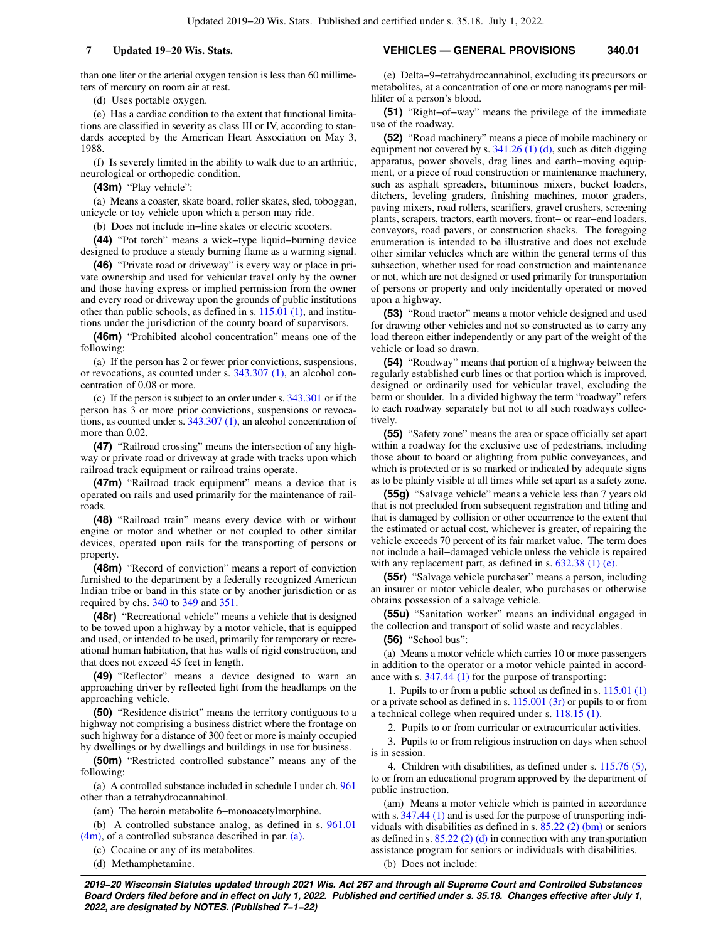than one liter or the arterial oxygen tension is less than 60 millimeters of mercury on room air at rest.

(d) Uses portable oxygen.

(e) Has a cardiac condition to the extent that functional limitations are classified in severity as class III or IV, according to standards accepted by the American Heart Association on May 3, 1988.

(f) Is severely limited in the ability to walk due to an arthritic, neurological or orthopedic condition.

**(43m)** "Play vehicle":

(a) Means a coaster, skate board, roller skates, sled, toboggan, unicycle or toy vehicle upon which a person may ride.

(b) Does not include in−line skates or electric scooters.

**(44)** "Pot torch" means a wick−type liquid−burning device designed to produce a steady burning flame as a warning signal.

**(46)** "Private road or driveway" is every way or place in private ownership and used for vehicular travel only by the owner and those having express or implied permission from the owner and every road or driveway upon the grounds of public institutions other than public schools, as defined in s. [115.01 \(1\)](https://docs.legis.wisconsin.gov/document/statutes/115.01(1)), and institutions under the jurisdiction of the county board of supervisors.

**(46m)** "Prohibited alcohol concentration" means one of the following:

(a) If the person has 2 or fewer prior convictions, suspensions, or revocations, as counted under s. [343.307 \(1\)](https://docs.legis.wisconsin.gov/document/statutes/343.307(1)), an alcohol concentration of 0.08 or more.

(c) If the person is subject to an order under s. [343.301](https://docs.legis.wisconsin.gov/document/statutes/343.301) or if the person has 3 or more prior convictions, suspensions or revocations, as counted under s. [343.307 \(1\),](https://docs.legis.wisconsin.gov/document/statutes/343.307(1)) an alcohol concentration of more than 0.02.

**(47)** "Railroad crossing" means the intersection of any highway or private road or driveway at grade with tracks upon which railroad track equipment or railroad trains operate.

**(47m)** "Railroad track equipment" means a device that is operated on rails and used primarily for the maintenance of railroads.

**(48)** "Railroad train" means every device with or without engine or motor and whether or not coupled to other similar devices, operated upon rails for the transporting of persons or property.

**(48m)** "Record of conviction" means a report of conviction furnished to the department by a federally recognized American Indian tribe or band in this state or by another jurisdiction or as required by chs. [340](https://docs.legis.wisconsin.gov/document/statutes/ch.%20340) to [349](https://docs.legis.wisconsin.gov/document/statutes/ch.%20349) and [351](https://docs.legis.wisconsin.gov/document/statutes/ch.%20351).

**(48r)** "Recreational vehicle" means a vehicle that is designed to be towed upon a highway by a motor vehicle, that is equipped and used, or intended to be used, primarily for temporary or recreational human habitation, that has walls of rigid construction, and that does not exceed 45 feet in length.

**(49)** "Reflector" means a device designed to warn an approaching driver by reflected light from the headlamps on the approaching vehicle.

**(50)** "Residence district" means the territory contiguous to a highway not comprising a business district where the frontage on such highway for a distance of 300 feet or more is mainly occupied by dwellings or by dwellings and buildings in use for business.

**(50m)** "Restricted controlled substance" means any of the following:

(a) A controlled substance included in schedule I under ch. [961](https://docs.legis.wisconsin.gov/document/statutes/ch.%20961) other than a tetrahydrocannabinol.

(am) The heroin metabolite 6−monoacetylmorphine.

(b) A controlled substance analog, as defined in s. [961.01](https://docs.legis.wisconsin.gov/document/statutes/961.01(4m)) [\(4m\)](https://docs.legis.wisconsin.gov/document/statutes/961.01(4m)), of a controlled substance described in par. [\(a\)](https://docs.legis.wisconsin.gov/document/statutes/340.01(50m)(a)).

(c) Cocaine or any of its metabolites.

(d) Methamphetamine.

### **7 Updated 19−20 Wis. Stats. VEHICLES — GENERAL PROVISIONS 340.01**

(e) Delta−9−tetrahydrocannabinol, excluding its precursors or metabolites, at a concentration of one or more nanograms per milliliter of a person's blood.

**(51)** "Right−of−way" means the privilege of the immediate use of the roadway.

**(52)** "Road machinery" means a piece of mobile machinery or equipment not covered by s. [341.26 \(1\) \(d\)](https://docs.legis.wisconsin.gov/document/statutes/341.26(1)(d)), such as ditch digging apparatus, power shovels, drag lines and earth−moving equipment, or a piece of road construction or maintenance machinery, such as asphalt spreaders, bituminous mixers, bucket loaders, ditchers, leveling graders, finishing machines, motor graders, paving mixers, road rollers, scarifiers, gravel crushers, screening plants, scrapers, tractors, earth movers, front− or rear−end loaders, conveyors, road pavers, or construction shacks. The foregoing enumeration is intended to be illustrative and does not exclude other similar vehicles which are within the general terms of this subsection, whether used for road construction and maintenance or not, which are not designed or used primarily for transportation of persons or property and only incidentally operated or moved upon a highway.

**(53)** "Road tractor" means a motor vehicle designed and used for drawing other vehicles and not so constructed as to carry any load thereon either independently or any part of the weight of the vehicle or load so drawn.

**(54)** "Roadway" means that portion of a highway between the regularly established curb lines or that portion which is improved, designed or ordinarily used for vehicular travel, excluding the berm or shoulder. In a divided highway the term "roadway" refers to each roadway separately but not to all such roadways collectively.

**(55)** "Safety zone" means the area or space officially set apart within a roadway for the exclusive use of pedestrians, including those about to board or alighting from public conveyances, and which is protected or is so marked or indicated by adequate signs as to be plainly visible at all times while set apart as a safety zone.

**(55g)** "Salvage vehicle" means a vehicle less than 7 years old that is not precluded from subsequent registration and titling and that is damaged by collision or other occurrence to the extent that the estimated or actual cost, whichever is greater, of repairing the vehicle exceeds 70 percent of its fair market value. The term does not include a hail−damaged vehicle unless the vehicle is repaired with any replacement part, as defined in s.  $632.38$  (1) (e).

**(55r)** "Salvage vehicle purchaser" means a person, including an insurer or motor vehicle dealer, who purchases or otherwise obtains possession of a salvage vehicle.

**(55u)** "Sanitation worker" means an individual engaged in the collection and transport of solid waste and recyclables.

**(56)** "School bus":

(a) Means a motor vehicle which carries 10 or more passengers in addition to the operator or a motor vehicle painted in accordance with s. [347.44 \(1\)](https://docs.legis.wisconsin.gov/document/statutes/347.44(1)) for the purpose of transporting:

1. Pupils to or from a public school as defined in s. [115.01 \(1\)](https://docs.legis.wisconsin.gov/document/statutes/115.01(1)) or a private school as defined in s. [115.001 \(3r\)](https://docs.legis.wisconsin.gov/document/statutes/115.001(3r)) or pupils to or from a technical college when required under s. [118.15 \(1\)](https://docs.legis.wisconsin.gov/document/statutes/118.15(1)).

2. Pupils to or from curricular or extracurricular activities.

3. Pupils to or from religious instruction on days when school is in session.

4. Children with disabilities, as defined under s. [115.76 \(5\),](https://docs.legis.wisconsin.gov/document/statutes/115.76(5)) to or from an educational program approved by the department of public instruction.

(am) Means a motor vehicle which is painted in accordance with s. [347.44 \(1\)](https://docs.legis.wisconsin.gov/document/statutes/347.44(1)) and is used for the purpose of transporting individuals with disabilities as defined in s.  $85.22$  (2) (bm) or seniors as defined in s.  $85.22$  (2) (d) in connection with any transportation assistance program for seniors or individuals with disabilities. (b) Does not include: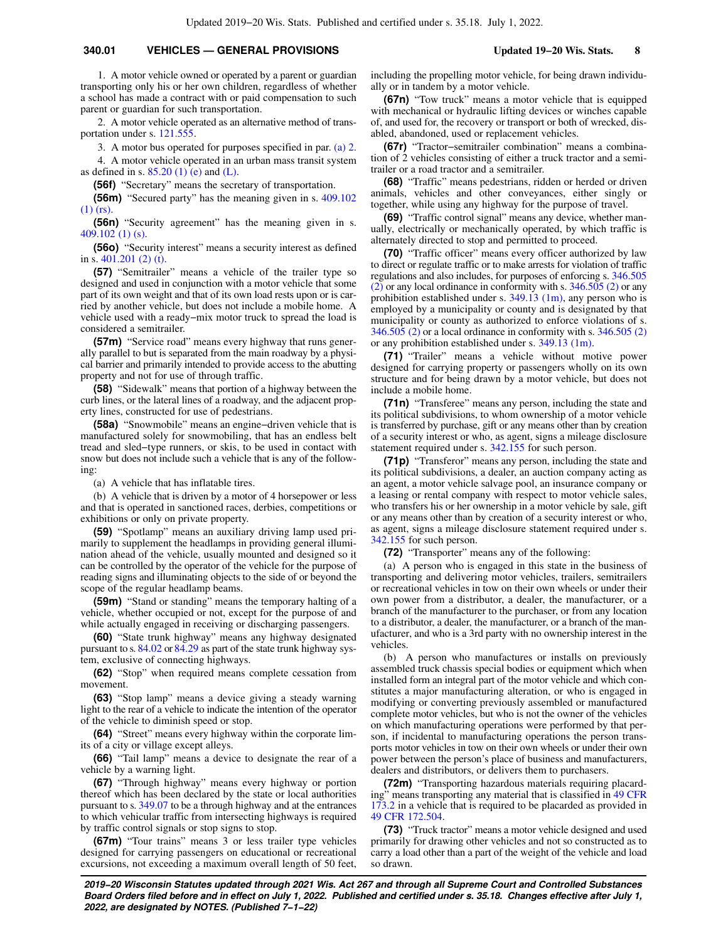1. A motor vehicle owned or operated by a parent or guardian transporting only his or her own children, regardless of whether a school has made a contract with or paid compensation to such parent or guardian for such transportation.

2. A motor vehicle operated as an alternative method of transportation under s. [121.555](https://docs.legis.wisconsin.gov/document/statutes/121.555).

3. A motor bus operated for purposes specified in par. [\(a\) 2.](https://docs.legis.wisconsin.gov/document/statutes/340.01(56)(a)2.) 4. A motor vehicle operated in an urban mass transit system as defined in s.  $85.20$  (1) (e) and [\(L\).](https://docs.legis.wisconsin.gov/document/statutes/85.20(1)(L))

**(56f)** "Secretary" means the secretary of transportation.

**(56m)** "Secured party" has the meaning given in s. [409.102](https://docs.legis.wisconsin.gov/document/statutes/409.102(1)(rs)) [\(1\) \(rs\)](https://docs.legis.wisconsin.gov/document/statutes/409.102(1)(rs)).

**(56n)** "Security agreement" has the meaning given in s. [409.102 \(1\) \(s\).](https://docs.legis.wisconsin.gov/document/statutes/409.102(1)(s))

**(56o)** "Security interest" means a security interest as defined in s. [401.201 \(2\) \(t\)](https://docs.legis.wisconsin.gov/document/statutes/401.201(2)(t)).

**(57)** "Semitrailer" means a vehicle of the trailer type so designed and used in conjunction with a motor vehicle that some part of its own weight and that of its own load rests upon or is carried by another vehicle, but does not include a mobile home. A vehicle used with a ready−mix motor truck to spread the load is considered a semitrailer.

**(57m)** "Service road" means every highway that runs generally parallel to but is separated from the main roadway by a physical barrier and primarily intended to provide access to the abutting property and not for use of through traffic.

**(58)** "Sidewalk" means that portion of a highway between the curb lines, or the lateral lines of a roadway, and the adjacent property lines, constructed for use of pedestrians.

**(58a)** "Snowmobile" means an engine−driven vehicle that is manufactured solely for snowmobiling, that has an endless belt tread and sled−type runners, or skis, to be used in contact with snow but does not include such a vehicle that is any of the following:

(a) A vehicle that has inflatable tires.

(b) A vehicle that is driven by a motor of 4 horsepower or less and that is operated in sanctioned races, derbies, competitions or exhibitions or only on private property.

**(59)** "Spotlamp" means an auxiliary driving lamp used primarily to supplement the headlamps in providing general illumination ahead of the vehicle, usually mounted and designed so it can be controlled by the operator of the vehicle for the purpose of reading signs and illuminating objects to the side of or beyond the scope of the regular headlamp beams.

**(59m)** "Stand or standing" means the temporary halting of a vehicle, whether occupied or not, except for the purpose of and while actually engaged in receiving or discharging passengers.

**(60)** "State trunk highway" means any highway designated pursuant to s. [84.02](https://docs.legis.wisconsin.gov/document/statutes/84.02) or [84.29](https://docs.legis.wisconsin.gov/document/statutes/84.29) as part of the state trunk highway system, exclusive of connecting highways.

**(62)** "Stop" when required means complete cessation from movement.

**(63)** "Stop lamp" means a device giving a steady warning light to the rear of a vehicle to indicate the intention of the operator of the vehicle to diminish speed or stop.

**(64)** "Street" means every highway within the corporate limits of a city or village except alleys.

**(66)** "Tail lamp" means a device to designate the rear of a vehicle by a warning light.

**(67)** "Through highway" means every highway or portion thereof which has been declared by the state or local authorities pursuant to s. [349.07](https://docs.legis.wisconsin.gov/document/statutes/349.07) to be a through highway and at the entrances to which vehicular traffic from intersecting highways is required by traffic control signals or stop signs to stop.

**(67m)** "Tour trains" means 3 or less trailer type vehicles designed for carrying passengers on educational or recreational excursions, not exceeding a maximum overall length of 50 feet, including the propelling motor vehicle, for being drawn individually or in tandem by a motor vehicle.

**(67n)** "Tow truck" means a motor vehicle that is equipped with mechanical or hydraulic lifting devices or winches capable of, and used for, the recovery or transport or both of wrecked, disabled, abandoned, used or replacement vehicles.

**(67r)** "Tractor−semitrailer combination" means a combination of 2 vehicles consisting of either a truck tractor and a semitrailer or a road tractor and a semitrailer.

**(68)** "Traffic" means pedestrians, ridden or herded or driven animals, vehicles and other conveyances, either singly or together, while using any highway for the purpose of travel.

**(69)** "Traffic control signal" means any device, whether manually, electrically or mechanically operated, by which traffic is alternately directed to stop and permitted to proceed.

**(70)** "Traffic officer" means every officer authorized by law to direct or regulate traffic or to make arrests for violation of traffic regulations and also includes, for purposes of enforcing s. [346.505](https://docs.legis.wisconsin.gov/document/statutes/346.505(2)) [\(2\)](https://docs.legis.wisconsin.gov/document/statutes/346.505(2)) or any local ordinance in conformity with s. [346.505 \(2\)](https://docs.legis.wisconsin.gov/document/statutes/346.505(2)) or any prohibition established under s. [349.13 \(1m\)](https://docs.legis.wisconsin.gov/document/statutes/349.13(1m)), any person who is employed by a municipality or county and is designated by that municipality or county as authorized to enforce violations of s. [346.505 \(2\)](https://docs.legis.wisconsin.gov/document/statutes/346.505(2)) or a local ordinance in conformity with s. [346.505 \(2\)](https://docs.legis.wisconsin.gov/document/statutes/346.505(2)) or any prohibition established under s. [349.13 \(1m\).](https://docs.legis.wisconsin.gov/document/statutes/349.13(1m))

**(71)** "Trailer" means a vehicle without motive power designed for carrying property or passengers wholly on its own structure and for being drawn by a motor vehicle, but does not include a mobile home.

**(71n)** "Transferee" means any person, including the state and its political subdivisions, to whom ownership of a motor vehicle is transferred by purchase, gift or any means other than by creation of a security interest or who, as agent, signs a mileage disclosure statement required under s. [342.155](https://docs.legis.wisconsin.gov/document/statutes/342.155) for such person.

**(71p)** "Transferor" means any person, including the state and its political subdivisions, a dealer, an auction company acting as an agent, a motor vehicle salvage pool, an insurance company or a leasing or rental company with respect to motor vehicle sales, who transfers his or her ownership in a motor vehicle by sale, gift or any means other than by creation of a security interest or who, as agent, signs a mileage disclosure statement required under s. [342.155](https://docs.legis.wisconsin.gov/document/statutes/342.155) for such person.

**(72)** "Transporter" means any of the following:

(a) A person who is engaged in this state in the business of transporting and delivering motor vehicles, trailers, semitrailers or recreational vehicles in tow on their own wheels or under their own power from a distributor, a dealer, the manufacturer, or a branch of the manufacturer to the purchaser, or from any location to a distributor, a dealer, the manufacturer, or a branch of the manufacturer, and who is a 3rd party with no ownership interest in the vehicles.

(b) A person who manufactures or installs on previously assembled truck chassis special bodies or equipment which when installed form an integral part of the motor vehicle and which constitutes a major manufacturing alteration, or who is engaged in modifying or converting previously assembled or manufactured complete motor vehicles, but who is not the owner of the vehicles on which manufacturing operations were performed by that person, if incidental to manufacturing operations the person transports motor vehicles in tow on their own wheels or under their own power between the person's place of business and manufacturers, dealers and distributors, or delivers them to purchasers.

**(72m)** "Transporting hazardous materials requiring placarding" means transporting any material that is classified in [49 CFR](https://docs.legis.wisconsin.gov/document/cfr/49%20CFR%20173.2) [173.2](https://docs.legis.wisconsin.gov/document/cfr/49%20CFR%20173.2) in a vehicle that is required to be placarded as provided in [49 CFR 172.504](https://docs.legis.wisconsin.gov/document/cfr/49%20CFR%20172.504).

**(73)** "Truck tractor" means a motor vehicle designed and used primarily for drawing other vehicles and not so constructed as to carry a load other than a part of the weight of the vehicle and load so drawn.